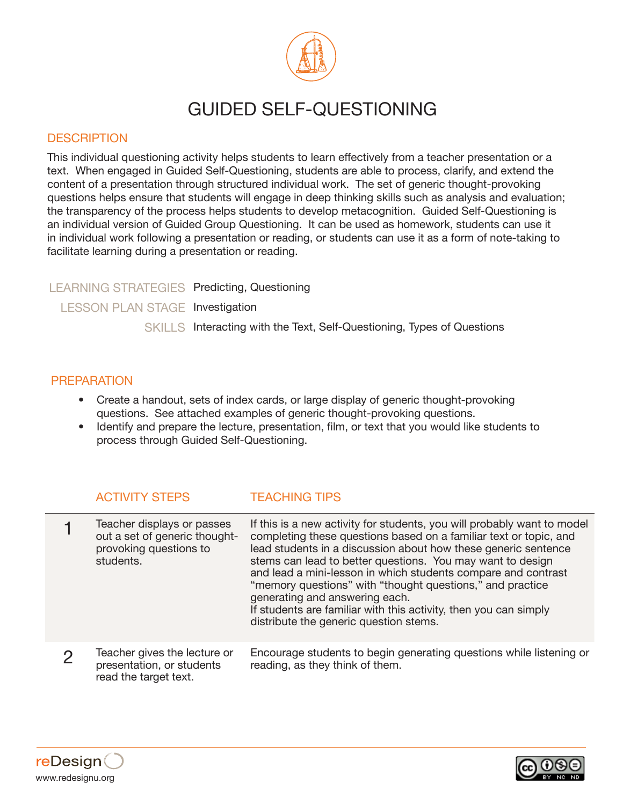

## GUIDED SELF-QUESTIONING

## **DESCRIPTION**

This individual questioning activity helps students to learn effectively from a teacher presentation or a text. When engaged in Guided Self-Questioning, students are able to process, clarify, and extend the content of a presentation through structured individual work. The set of generic thought-provoking questions helps ensure that students will engage in deep thinking skills such as analysis and evaluation; the transparency of the process helps students to develop metacognition. Guided Self-Questioning is an individual version of Guided Group Questioning. It can be used as homework, students can use it in individual work following a presentation or reading, or students can use it as a form of note-taking to facilitate learning during a presentation or reading.

LEARNING STRATEGIES Predicting, Questioning LESSON PLAN STAGE Investigation SKILLS Interacting with the Text, Self-Questioning, Types of Questions

## PREPARATION

- Create a handout, sets of index cards, or large display of generic thought-provoking questions. See attached examples of generic thought-provoking questions.
- Identify and prepare the lecture, presentation, film, or text that you would like students to process through Guided Self-Questioning.

## ACTIVITY STEPS TEACHING TIPS

| Teacher displays or passes<br>out a set of generic thought-<br>provoking questions to<br>students. | If this is a new activity for students, you will probably want to model<br>completing these questions based on a familiar text or topic, and<br>lead students in a discussion about how these generic sentence<br>stems can lead to better questions. You may want to design<br>and lead a mini-lesson in which students compare and contrast<br>"memory questions" with "thought questions," and practice<br>generating and answering each.<br>If students are familiar with this activity, then you can simply<br>distribute the generic question stems. |
|----------------------------------------------------------------------------------------------------|------------------------------------------------------------------------------------------------------------------------------------------------------------------------------------------------------------------------------------------------------------------------------------------------------------------------------------------------------------------------------------------------------------------------------------------------------------------------------------------------------------------------------------------------------------|
| Teacher gives the lecture or<br>presentation, or students<br>read the target text.                 | Encourage students to begin generating questions while listening or<br>reading, as they think of them.                                                                                                                                                                                                                                                                                                                                                                                                                                                     |